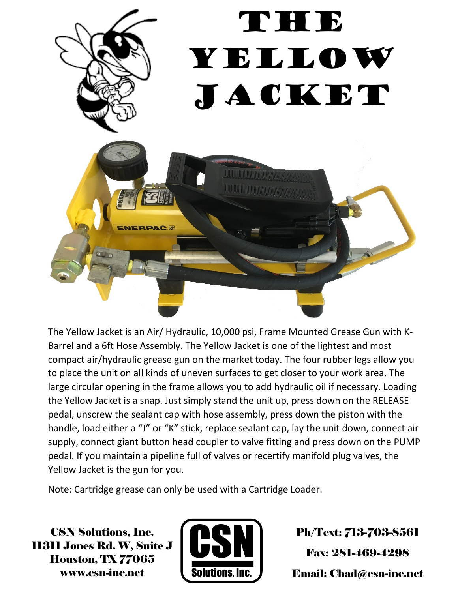

The Yellow Jacket is an Air/ Hydraulic, 10,000 psi, Frame Mounted Grease Gun with K-Barrel and a 6ft Hose Assembly. The Yellow Jacket is one of the lightest and most compact air/hydraulic grease gun on the market today. The four rubber legs allow you to place the unit on all kinds of uneven surfaces to get closer to your work area. The large circular opening in the frame allows you to add hydraulic oil if necessary. Loading the Yellow Jacket is a snap. Just simply stand the unit up, press down on the RELEASE pedal, unscrew the sealant cap with hose assembly, press down the piston with the handle, load either a "J" or "K" stick, replace sealant cap, lay the unit down, connect air supply, connect giant button head coupler to valve fitting and press down on the PUMP pedal. If you maintain a pipeline full of valves or recertify manifold plug valves, the Yellow Jacket is the gun for you.

Note: Cartridge grease can only be used with a Cartridge Loader.

CSN Solutions, Inc. 11311 Jones Rd. W, Suite J Houston, TX 77065 www.csn-inc.net



Ph/Text: 713-703-8561 Fax: 281-469-4298 Email: Chad@csn-inc.net